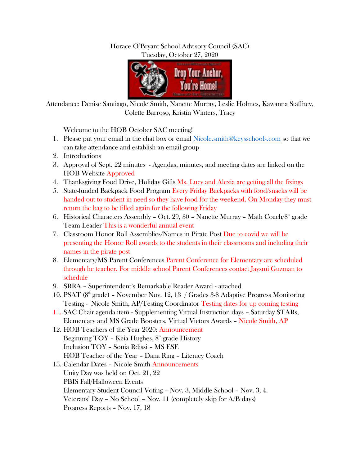## Horace O'Bryant School Advisory Council (SAC) Tuesday, October 27, 2020



Attendance: Denise Santiago, Nicole Smith, Nanette Murray, Leslie Holmes, Kawanna Staffney, Colette Barroso, Kristin Winters, Tracy

Welcome to the HOB October SAC meeting!

- 1. Please put your email in the chat box or email [Nicole.smith@keysschools.com](mailto:Nicole.smith@keysschools.com) so that we can take attendance and establish an email group
- 2. Introductions
- 3. Approval of Sept. 22 minutes Agendas, minutes, and meeting dates are linked on the HOB Website Approved
- 4. Thanksgiving Food Drive, Holiday Gifts Ms. Lucy and Alexia are getting all the fixings
- 5. State-funded Backpack Food Program Every Friday Backpacks with food/snacks will be handed out to student in need so they have food for the weekend. On Monday they must return the bag to be filled again for the following Friday
- 6. Historical Characters Assembly Oct. 29, 30 Nanette Murray Math Coach/8<sup>th</sup> grade Team Leader This is a wonderful annual event
- 7. Classroom Honor Roll Assemblies/Names in Pirate Post Due to covid we will be presenting the Honor Roll awards to the students in their classrooms and including their names in the pirate post
- 8. Elementary/MS Parent Conferences Parent Conference for Elementary are scheduled through he teacher. For middle school Parent Conferences contact Jaysmi Guzman to schedule
- 9. SRRA Superintendent's Remarkable Reader Award attached
- 10. PSAT  $(8<sup>th</sup> grade)$  November Nov. 12, 13 / Grades 3-8 Adaptive Progress Monitoring Testing - Nicole Smith, AP/Testing Coordinator Testing dates for up coming testing
- 11. SAC Chair agenda item Supplementing Virtual Instruction days Saturday STARs, Elementary and MS Grade Boosters, Virtual Victors Awards – Nicole Smith, AP
- 12. HOB Teachers of the Year 2020: Announcement Beginning  $TOY$  – Keia Hughes,  $8<sup>th</sup>$  grade History Inclusion TOY – Sonia Rdissi – MS ESE HOB Teacher of the Year – Dana Ring – Literacy Coach
- 13. Calendar Dates Nicole Smith Announcements Unity Day was held on Oct. 21, 22 PBIS Fall/Halloween Events Elementary Student Council Voting – Nov. 3, Middle School – Nov. 3, 4. Veterans' Day – No School – Nov. 11 (completely skip for A/B days) Progress Reports – Nov. 17, 18